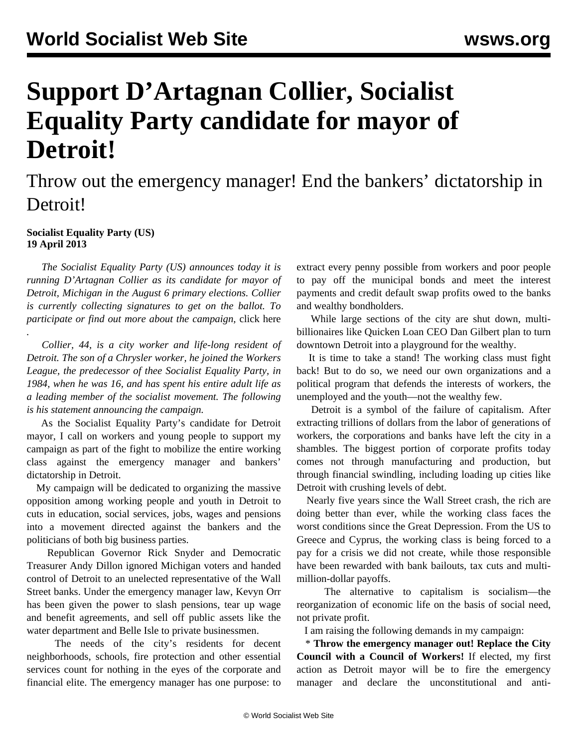## **Support D'Artagnan Collier, Socialist Equality Party candidate for mayor of Detroit!**

## Throw out the emergency manager! End the bankers' dictatorship in Detroit!

## **Socialist Equality Party (US) 19 April 2013**

*.* 

 *The Socialist Equality Party (US) announces today it is running D'Artagnan Collier as its candidate for mayor of Detroit, Michigan in the August 6 primary elections. Collier is currently collecting signatures to get on the ballot. To participate or find out more about the campaign,* [click here](http://socialequality.com/contact)

 *Collier, 44, is a city worker and life-long resident of Detroit. The son of a Chrysler worker, he joined the Workers League, the predecessor of thee Socialist Equality Party, in 1984, when he was 16, and has spent his entire adult life as a leading member of the socialist movement. The following is his statement announcing the campaign.*

 As the Socialist Equality Party's candidate for Detroit mayor, I call on workers and young people to support my campaign as part of the fight to mobilize the entire working class against the emergency manager and bankers' dictatorship in Detroit.

 My campaign will be dedicated to organizing the massive opposition among working people and youth in Detroit to cuts in education, social services, jobs, wages and pensions into a movement directed against the bankers and the politicians of both big business parties.

 Republican Governor Rick Snyder and Democratic Treasurer Andy Dillon ignored Michigan voters and handed control of Detroit to an unelected representative of the Wall Street banks. Under the emergency manager law, Kevyn Orr has been given the power to slash pensions, tear up wage and benefit agreements, and sell off public assets like the water department and Belle Isle to private businessmen.

 The needs of the city's residents for decent neighborhoods, schools, fire protection and other essential services count for nothing in the eyes of the corporate and financial elite. The emergency manager has one purpose: to

extract every penny possible from workers and poor people to pay off the municipal bonds and meet the interest payments and credit default swap profits owed to the banks and wealthy bondholders.

 While large sections of the city are shut down, multibillionaires like Quicken Loan CEO Dan Gilbert plan to turn downtown Detroit into a playground for the wealthy.

 It is time to take a stand! The working class must fight back! But to do so, we need our own organizations and a political program that defends the interests of workers, the unemployed and the youth—not the wealthy few.

 Detroit is a symbol of the failure of capitalism. After extracting trillions of dollars from the labor of generations of workers, the corporations and banks have left the city in a shambles. The biggest portion of corporate profits today comes not through manufacturing and production, but through financial swindling, including loading up cities like Detroit with crushing levels of debt.

 Nearly five years since the Wall Street crash, the rich are doing better than ever, while the working class faces the worst conditions since the Great Depression. From the US to Greece and Cyprus, the working class is being forced to a pay for a crisis we did not create, while those responsible have been rewarded with bank bailouts, tax cuts and multimillion-dollar payoffs.

 The alternative to capitalism is socialism—the reorganization of economic life on the basis of social need, not private profit.

I am raising the following demands in my campaign:

 \* **Throw the emergency manager out! Replace the City Council with a Council of Workers!** If elected, my first action as Detroit mayor will be to fire the emergency manager and declare the unconstitutional and anti